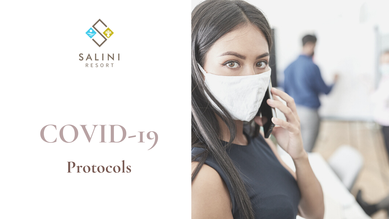

# **COVID-19 Protocols**

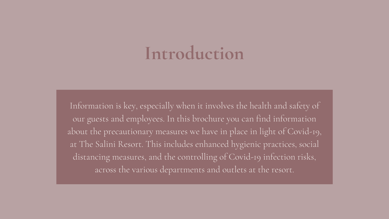# **Introduction**

Information is key, especially when it involves the health and safety of our guests and employees. In this brochure you can find information about the precautionary measures we have in place in light of Covid-19, at The Salini Resort. This includes enhanced hygienic practices, social distancing measures, and the controlling of Covid-19 infection risks, across the various departments and outlets at the resort.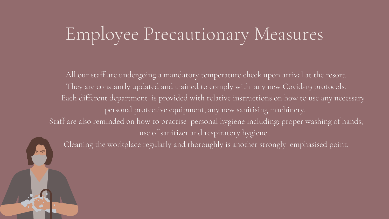# Employee Precautionary Measures

All our staff are undergoing a mandatory temperature check upon arrival at the resort. They are constantly updated and trained to comply with any new Covid-19 protocols. Each different department is provided with relative instructions on how to use any necessary personal protective equipment, any new sanitising machinery. Staff are also reminded on how to practise personal hygiene including: proper washing of hands, use of sanitizer and respiratory hygiene .

Cleaning the workplace regularly and thoroughly is another strongly emphasised point.

- 
- 
- 
- 
-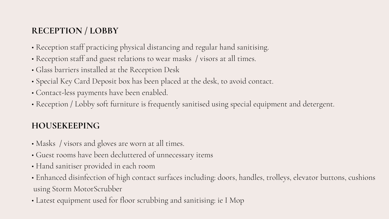- Reception staff practicing physical distancing and regular hand sanitising.
- Reception staff and guest relations to wear masks / visors at all times.
- Glass barriers installed at the Reception Desk
- Special Key Card Deposit box has been placed at the desk, to avoid contact.
- Contact-less payments have been enabled.
- Reception / Lobby soft furniture is frequently sanitised using special equipment and detergent.

- Masks / visors and gloves are worn at all times.
- Guest rooms have been decluttered of unnecessary items
- Hand sanitiser provided in each room
- Enhanced disinfection of high contact surfaces including: doors, handles, trolleys, elevator buttons, cushions using Storm MotorScrubber
- Latest equipment used for floor scrubbing and sanitising: ie I Mop

### **RECEPTION / LOBBY**

#### **HOUSEKEEPING**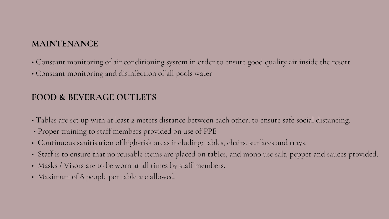### **MAINTENANCE**

- Constant monitoring of air conditioning system in order to ensure good quality air inside the resort
- Constant monitoring and disinfection of all pools water

- Tables are set up with at least 2 meters distance between each other, to ensure safe social distancing.
- Proper training to staff members provided on use of PPE
- Continuous sanitisation of high-risk areas including: tables, chairs, surfaces and trays.
- Staff is to ensure that no reusable items are placed on tables, and mono use salt, pepper and sauces provided.
- Masks / Visors are to be worn at all times by staff members.
- Maximum of 8 people per table are allowed.

#### **FOOD & BEVERAGE OUTLETS**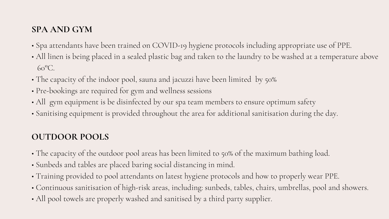- Spa attendants have been trained on COVID-19 hygiene protocols including appropriate use of PPE.
- All linen is being placed in a sealed plastic bag and taken to the laundry to be washed at a temperature above 60°C.
- The capacity of the indoor pool, sauna and jacuzzi have been limited by 50%
- Pre-bookings are required for gym and wellness sessions
- All gym equipment is be disinfected by our spa team members to ensure optimum safety
- Sanitising equipment is provided throughout the area for additional sanitisation during the day.

- The capacity of the outdoor pool areas has been limited to 50% of the maximum bathing load.
- Sunbeds and tables are placed baring social distancing in mind.
- Training provided to pool attendants on latest hygiene protocols and how to properly wear PPE.
- Continuous sanitisation of high-risk areas, including: sunbeds, tables, chairs, umbrellas, pool and showers.
- All pool towels are properly washed and sanitised by a third party supplier.

### **SPA AND GYM**

#### **OUTDOOR POOLS**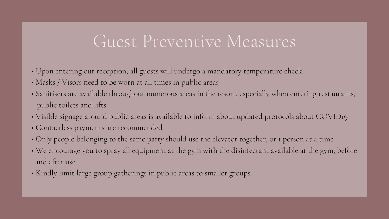### Guest Preventive Measures

- Upon entering our reception, all guests will undergo a mandatory temperature check.
- Masks / Visors need to be worn at all times in public areas
- Sanitisers are available throughout numerous areas in the resort, especially when entering restaurants, public toilets and lifts
- Visible signage around public areas is available to inform about updated protocols about COVID19
- Contactless payments are recommended
- Only people belonging to the same party should use the elevator together, or 1 person at a time
- We encourage you to spray all equipment at the gym with the disinfectant available at the gym, before and after use
- Kindly limit large group gatherings in public areas to smaller groups.
-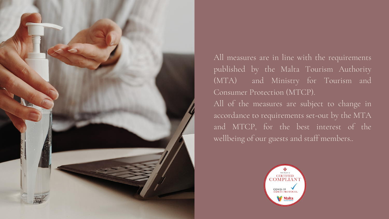

All measures are in line with the requirements published by the Malta Tourism Authority (MTA) and Ministry for Tourism and Consumer Protection (MTCP).

All of the measures are subject to change in accordance to requirements set-out by the MTA and MTCP, for the best interest of the wellbeing of our guests and staff members..